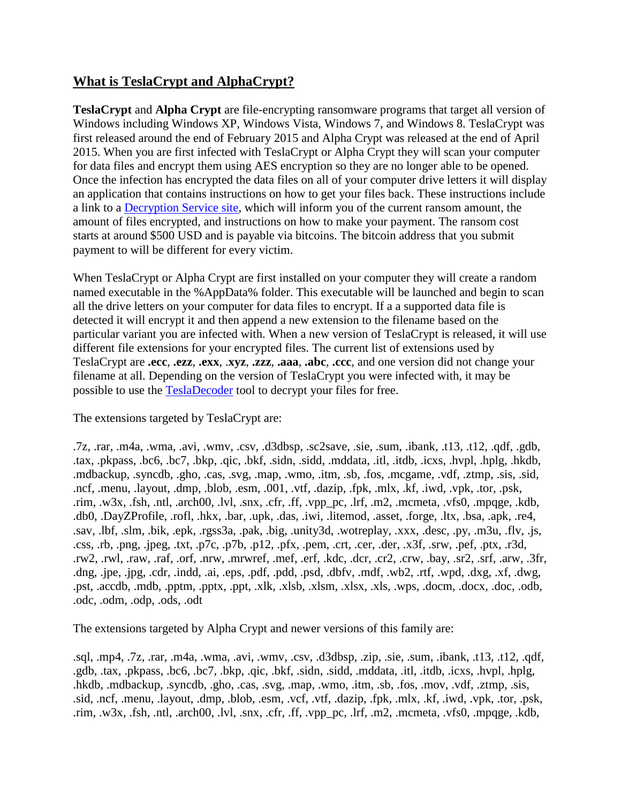### **What is TeslaCrypt and AlphaCrypt?**

**TeslaCrypt** and **Alpha Crypt** are file-encrypting ransomware programs that target all version of Windows including Windows XP, Windows Vista, Windows 7, and Windows 8. TeslaCrypt was first released around the end of February 2015 and Alpha Crypt was released at the end of April 2015. When you are first infected with TeslaCrypt or Alpha Crypt they will scan your computer for data files and encrypt them using AES encryption so they are no longer able to be opened. Once the infection has encrypted the data files on all of your computer drive letters it will display an application that contains instructions on how to get your files back. These instructions include a link to a [Decryption Service site,](http://www.bleepingcomputer.com/virus-removal/teslacrypt-alphacrypt-ransomware-information#buy_decryption) which will inform you of the current ransom amount, the amount of files encrypted, and instructions on how to make your payment. The ransom cost starts at around \$500 USD and is payable via bitcoins. The bitcoin address that you submit payment to will be different for every victim.

When TeslaCrypt or Alpha Crypt are first installed on your computer they will create a random named executable in the %AppData% folder. This executable will be launched and begin to scan all the drive letters on your computer for data files to encrypt. If a a supported data file is detected it will encrypt it and then append a new extension to the filename based on the particular variant you are infected with. When a new version of TeslaCrypt is released, it will use different file extensions for your encrypted files. The current list of extensions used by TeslaCrypt are **.ecc**, **.ezz**, **.exx**, .**xyz**, **.zzz**, **.aaa**, **.abc**, **.ccc**, and one version did not change your filename at all. Depending on the version of TeslaCrypt you were infected with, it may be possible to use the [TeslaDecoder](http://www.bleepingcomputer.com/virus-removal/teslacrypt-alphacrypt-ransomware-information#decrypt) tool to decrypt your files for free.

The extensions targeted by TeslaCrypt are:

.7z, .rar, .m4a, .wma, .avi, .wmv, .csv, .d3dbsp, .sc2save, .sie, .sum, .ibank, .t13, .t12, .qdf, .gdb, .tax, .pkpass, .bc6, .bc7, .bkp, .qic, .bkf, .sidn, .sidd, .mddata, .itl, .itdb, .icxs, .hvpl, .hplg, .hkdb, .mdbackup, .syncdb, .gho, .cas, .svg, .map, .wmo, .itm, .sb, .fos, .mcgame, .vdf, .ztmp, .sis, .sid, .ncf, .menu, .layout, .dmp, .blob, .esm, .001, .vtf, .dazip, .fpk, .mlx, .kf, .iwd, .vpk, .tor, .psk, .rim, .w3x, .fsh, .ntl, .arch00, .lvl, .snx, .cfr, .ff, .vpp\_pc, .lrf, .m2, .mcmeta, .vfs0, .mpqge, .kdb, .db0, .DayZProfile, .rofl, .hkx, .bar, .upk, .das, .iwi, .litemod, .asset, .forge, .ltx, .bsa, .apk, .re4, .sav, .lbf, .slm, .bik, .epk, .rgss3a, .pak, .big, .unity3d, .wotreplay, .xxx, .desc, .py, .m3u, .flv, .js, .css, .rb, .png, .jpeg, .txt, .p7c, .p7b, .p12, .pfx, .pem, .crt, .cer, .der, .x3f, .srw, .pef, .ptx, .r3d, .rw2, .rwl, .raw, .raf, .orf, .nrw, .mrwref, .mef, .erf, .kdc, .dcr, .cr2, .crw, .bay, .sr2, .srf, .arw, .3fr, .dng, .jpe, .jpg, .cdr, .indd, .ai, .eps, .pdf, .pdd, .psd, .dbfv, .mdf, .wb2, .rtf, .wpd, .dxg, .xf, .dwg, .pst, .accdb, .mdb, .pptm, .pptx, .ppt, .xlk, .xlsb, .xlsm, .xlsx, .xls, .wps, .docm, .docx, .doc, .odb, .odc, .odm, .odp, .ods, .odt

The extensions targeted by Alpha Crypt and newer versions of this family are:

.sql, .mp4, .7z, .rar, .m4a, .wma, .avi, .wmv, .csv, .d3dbsp, .zip, .sie, .sum, .ibank, .t13, .t12, .qdf, .gdb, .tax, .pkpass, .bc6, .bc7, .bkp, .qic, .bkf, .sidn, .sidd, .mddata, .itl, .itdb, .icxs, .hvpl, .hplg, .hkdb, .mdbackup, .syncdb, .gho, .cas, .svg, .map, .wmo, .itm, .sb, .fos, .mov, .vdf, .ztmp, .sis, .sid, .ncf, .menu, .layout, .dmp, .blob, .esm, .vcf, .vtf, .dazip, .fpk, .mlx, .kf, .iwd, .vpk, .tor, .psk, .rim, .w3x, .fsh, .ntl, .arch00, .lvl, .snx, .cfr, .ff, .vpp\_pc, .lrf, .m2, .mcmeta, .vfs0, .mpqge, .kdb,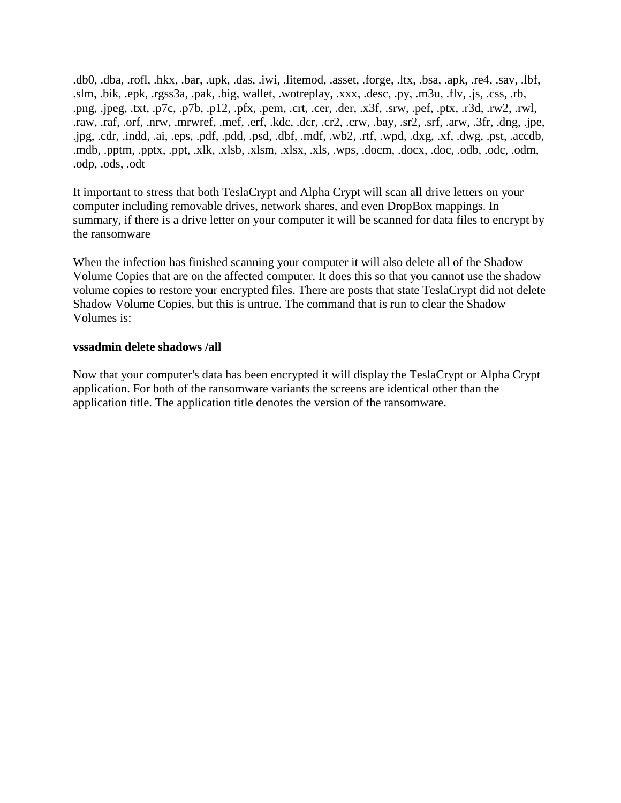.db0, .dba, .rofl, .hkx, .bar, .upk, .das, .iwi, .litemod, .asset, .forge, .ltx, .bsa, .apk, .re4, .sav, .lbf, .slm, .bik, .epk, .rgss3a, .pak, .big, wallet, .wotreplay, .xxx, .desc, .py, .m3u, .flv, .js, .css, .rb, .png, .jpeg, .txt, .p7c, .p7b, .p12, .pfx, .pem, .crt, .cer, .der, .x3f, .srw, .pef, .ptx, .r3d, .rw2, .rwl, .raw, .raf, .orf, .nrw, .mrwref, .mef, .erf, .kdc, .dcr, .cr2, .crw, .bay, .sr2, .srf, .arw, .3fr, .dng, .jpe, .jpg, .cdr, .indd, .ai, .eps, .pdf, .pdd, .psd, .dbf, .mdf, .wb2, .rtf, .wpd, .dxg, .xf, .dwg, .pst, .accdb, .mdb, .pptm, .pptx, .ppt, .xlk, .xlsb, .xlsm, .xlsx, .xls, .wps, .docm, .docx, .doc, .odb, .odc, .odm, .odp, .ods, .odt

It important to stress that both TeslaCrypt and Alpha Crypt will scan all drive letters on your computer including removable drives, network shares, and even DropBox mappings. In summary, if there is a drive letter on your computer it will be scanned for data files to encrypt by the ransomware

When the infection has finished scanning your computer it will also delete all of the Shadow Volume Copies that are on the affected computer. It does this so that you cannot use the shadow volume copies to restore your encrypted files. There are posts that state TeslaCrypt did not delete Shadow Volume Copies, but this is untrue. The command that is run to clear the Shadow Volumes is:

#### **vssadmin delete shadows /all**

Now that your computer's data has been encrypted it will display the TeslaCrypt or Alpha Crypt application. For both of the ransomware variants the screens are identical other than the application title. The application title denotes the version of the ransomware.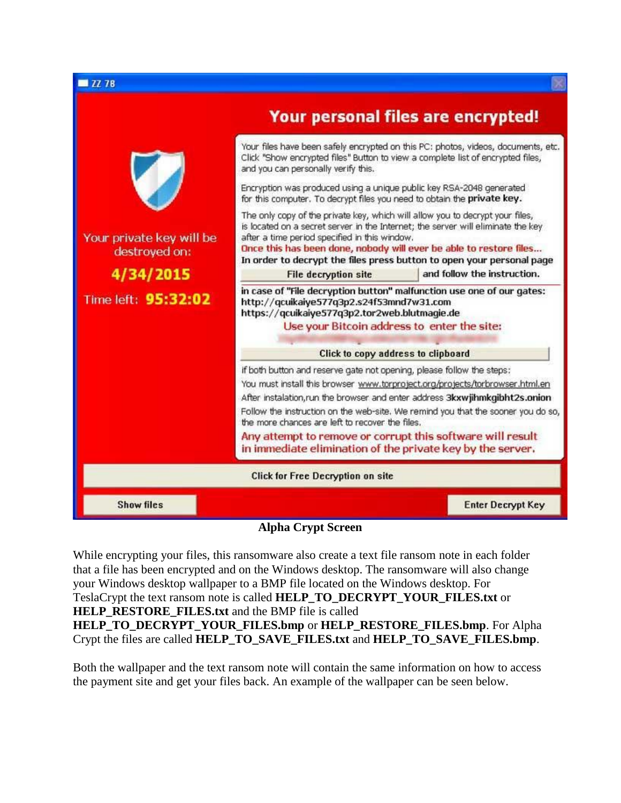

#### **Alpha Crypt Screen**

While encrypting your files, this ransomware also create a text file ransom note in each folder that a file has been encrypted and on the Windows desktop. The ransomware will also change your Windows desktop wallpaper to a BMP file located on the Windows desktop. For TeslaCrypt the text ransom note is called **HELP\_TO\_DECRYPT\_YOUR\_FILES.txt** or **HELP\_RESTORE\_FILES.txt** and the BMP file is called **HELP\_TO\_DECRYPT\_YOUR\_FILES.bmp** or **HELP\_RESTORE\_FILES.bmp**. For Alpha Crypt the files are called **HELP\_TO\_SAVE\_FILES.txt** and **HELP\_TO\_SAVE\_FILES.bmp**.

Both the wallpaper and the text ransom note will contain the same information on how to access the payment site and get your files back. An example of the wallpaper can be seen below.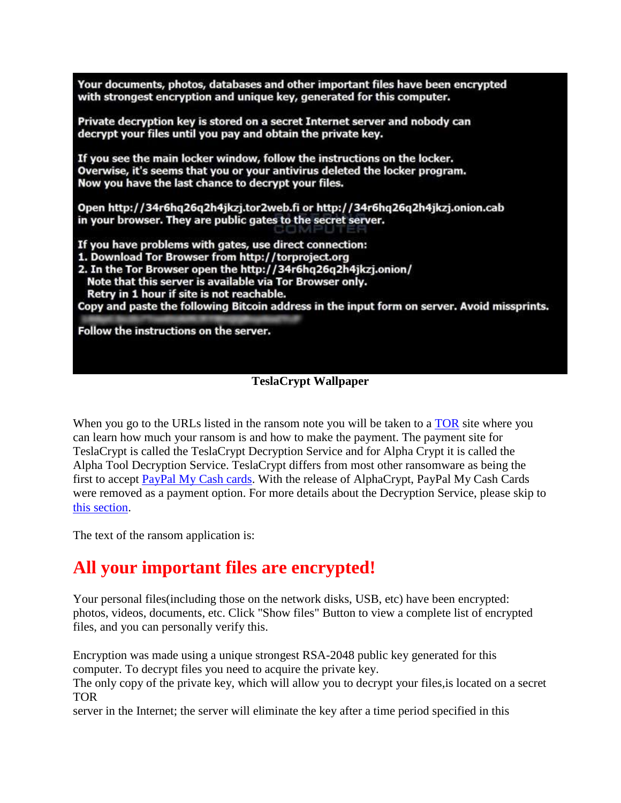Your documents, photos, databases and other important files have been encrypted with strongest encryption and unique key, generated for this computer. Private decryption key is stored on a secret Internet server and nobody can decrypt your files until you pay and obtain the private key. If you see the main locker window, follow the instructions on the locker. Overwise, it's seems that you or your antivirus deleted the locker program. Now you have the last chance to decrypt your files. Open http://34r6hq26q2h4jkzj.tor2web.fi or http://34r6hq26q2h4jkzj.onion.cab in your browser. They are public gates to the secret server. If you have problems with gates, use direct connection: 1. Download Tor Browser from http://torproject.org 2. In the Tor Browser open the http://34r6hq26q2h4jkzj.onion/ Note that this server is available via Tor Browser only. Retry in 1 hour if site is not reachable. Copy and paste the following Bitcoin address in the input form on server. Avoid missprints. Follow the instructions on the server.

### **TeslaCrypt Wallpaper**

When you go to the URLs listed in the ransom note you will be taken to a [TOR](https://www.torproject.org/) site where you can learn how much your ransom is and how to make the payment. The payment site for TeslaCrypt is called the TeslaCrypt Decryption Service and for Alpha Crypt it is called the Alpha Tool Decryption Service. TeslaCrypt differs from most other ransomware as being the first to accept [PayPal My Cash cards.](https://www.paypal-cash.com/) With the release of AlphaCrypt, PayPal My Cash Cards were removed as a payment option. For more details about the Decryption Service, please skip to [this section.](http://www.bleepingcomputer.com/virus-removal/teslacrypt-alphacrypt-ransomware-information#decryption_service)

The text of the ransom application is:

# **All your important files are encrypted!**

Your personal files(including those on the network disks, USB, etc) have been encrypted: photos, videos, documents, etc. Click "Show files" Button to view a complete list of encrypted files, and you can personally verify this.

Encryption was made using a unique strongest RSA-2048 public key generated for this computer. To decrypt files you need to acquire the private key.

The only copy of the private key, which will allow you to decrypt your files,is located on a secret TOR

server in the Internet; the server will eliminate the key after a time period specified in this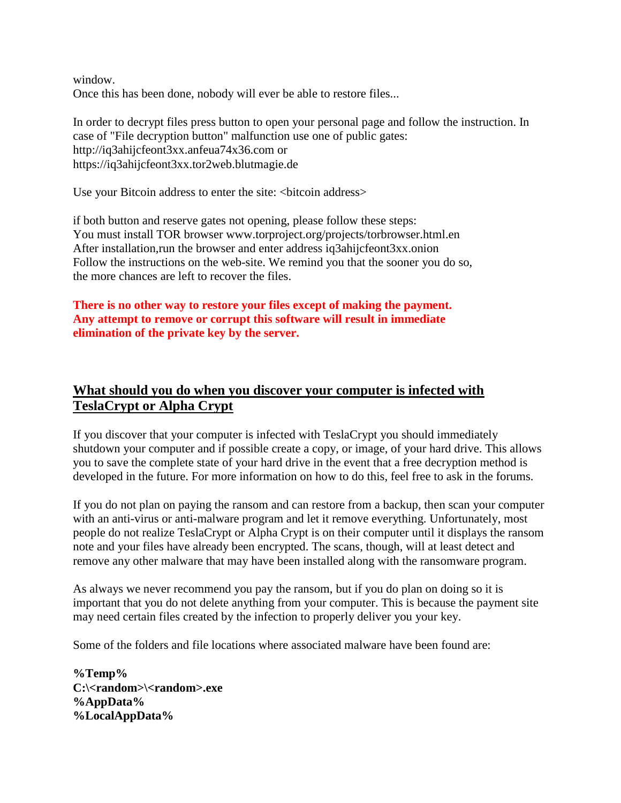window. Once this has been done, nobody will ever be able to restore files...

In order to decrypt files press button to open your personal page and follow the instruction. In case of "File decryption button" malfunction use one of public gates: http://iq3ahijcfeont3xx.anfeua74x36.com or https://iq3ahijcfeont3xx.tor2web.blutmagie.de

Use your Bitcoin address to enter the site: <br/> <br/>bitcoin address>

if both button and reserve gates not opening, please follow these steps: You must install TOR browser www.torproject.org/projects/torbrowser.html.en After installation,run the browser and enter address iq3ahijcfeont3xx.onion Follow the instructions on the web-site. We remind you that the sooner you do so, the more chances are left to recover the files.

### **There is no other way to restore your files except of making the payment. Any attempt to remove or corrupt this software will result in immediate elimination of the private key by the server.**

## **What should you do when you discover your computer is infected with TeslaCrypt or Alpha Crypt**

If you discover that your computer is infected with TeslaCrypt you should immediately shutdown your computer and if possible create a copy, or image, of your hard drive. This allows you to save the complete state of your hard drive in the event that a free decryption method is developed in the future. For more information on how to do this, feel free to ask in the forums.

If you do not plan on paying the ransom and can restore from a backup, then scan your computer with an anti-virus or anti-malware program and let it remove everything. Unfortunately, most people do not realize TeslaCrypt or Alpha Crypt is on their computer until it displays the ransom note and your files have already been encrypted. The scans, though, will at least detect and remove any other malware that may have been installed along with the ransomware program.

As always we never recommend you pay the ransom, but if you do plan on doing so it is important that you do not delete anything from your computer. This is because the payment site may need certain files created by the infection to properly deliver you your key.

Some of the folders and file locations where associated malware have been found are:

**%Temp% C:\<random>\<random>.exe %AppData% %LocalAppData%**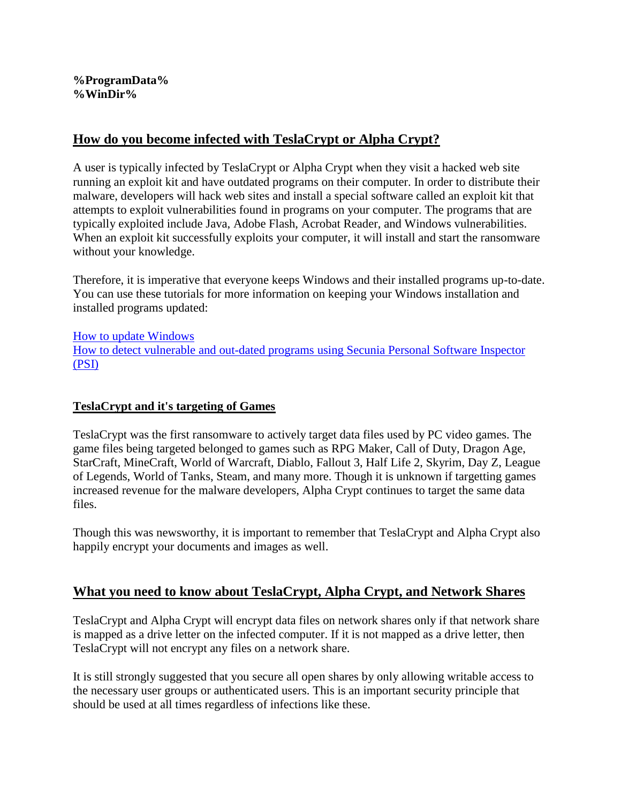#### **%ProgramData% %WinDir%**

### **How do you become infected with TeslaCrypt or Alpha Crypt?**

A user is typically infected by TeslaCrypt or Alpha Crypt when they visit a hacked web site running an exploit kit and have outdated programs on their computer. In order to distribute their malware, developers will hack web sites and install a special software called an exploit kit that attempts to exploit vulnerabilities found in programs on your computer. The programs that are typically exploited include Java, Adobe Flash, Acrobat Reader, and Windows vulnerabilities. When an exploit kit successfully exploits your computer, it will install and start the ransomware without your knowledge.

Therefore, it is imperative that everyone keeps Windows and their installed programs up-to-date. You can use these tutorials for more information on keeping your Windows installation and installed programs updated:

[How to update Windows](http://www.bleepingcomputer.com/tutorials/how-to-update-windows/) [How to detect vulnerable and out-dated programs using Secunia Personal Software Inspector](http://www.bleepingcomputer.com/tutorials/detect-vulnerable-programs-with-secunia-psi/)  [\(PSI\)](http://www.bleepingcomputer.com/tutorials/detect-vulnerable-programs-with-secunia-psi/)

### **TeslaCrypt and it's targeting of Games**

TeslaCrypt was the first ransomware to actively target data files used by PC video games. The game files being targeted belonged to games such as RPG Maker, Call of Duty, Dragon Age, StarCraft, MineCraft, World of Warcraft, Diablo, Fallout 3, Half Life 2, Skyrim, Day Z, League of Legends, World of Tanks, Steam, and many more. Though it is unknown if targetting games increased revenue for the malware developers, Alpha Crypt continues to target the same data files.

Though this was newsworthy, it is important to remember that TeslaCrypt and Alpha Crypt also happily encrypt your documents and images as well.

### **What you need to know about TeslaCrypt, Alpha Crypt, and Network Shares**

TeslaCrypt and Alpha Crypt will encrypt data files on network shares only if that network share is mapped as a drive letter on the infected computer. If it is not mapped as a drive letter, then TeslaCrypt will not encrypt any files on a network share.

It is still strongly suggested that you secure all open shares by only allowing writable access to the necessary user groups or authenticated users. This is an important security principle that should be used at all times regardless of infections like these.